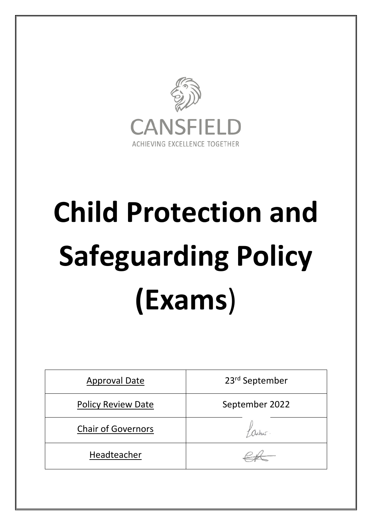

# **Child Protection and Safeguarding Policy (Exams**)

| <b>Approval Date</b>      | 23 <sup>rd</sup> September |
|---------------------------|----------------------------|
| <b>Policy Review Date</b> | September 2022             |
| <b>Chair of Governors</b> |                            |
| Headteacher               |                            |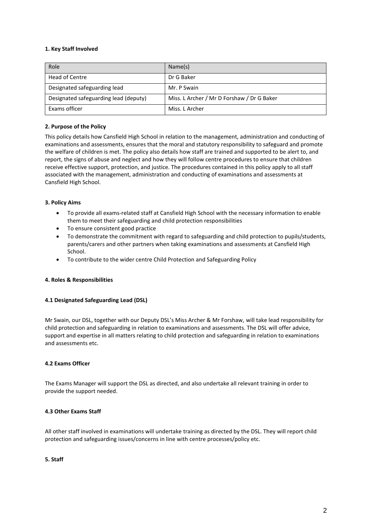# **1. Key Staff Involved**

| Role                                  | Name(s)                                    |
|---------------------------------------|--------------------------------------------|
| Head of Centre                        | Dr G Baker                                 |
| Designated safeguarding lead          | Mr. P Swain                                |
| Designated safeguarding lead (deputy) | Miss. L Archer / Mr D Forshaw / Dr G Baker |
| Exams officer                         | Miss. L Archer                             |

# **2. Purpose of the Policy**

This policy details how Cansfield High School in relation to the management, administration and conducting of examinations and assessments, ensures that the moral and statutory responsibility to safeguard and promote the welfare of children is met. The policy also details how staff are trained and supported to be alert to, and report, the signs of abuse and neglect and how they will follow centre procedures to ensure that children receive effective support, protection, and justice. The procedures contained in this policy apply to all staff associated with the management, administration and conducting of examinations and assessments at Cansfield High School.

# **3. Policy Aims**

- To provide all exams-related staff at Cansfield High School with the necessary information to enable them to meet their safeguarding and child protection responsibilities
- To ensure consistent good practice
- To demonstrate the commitment with regard to safeguarding and child protection to pupils/students, parents/carers and other partners when taking examinations and assessments at Cansfield High School.
- To contribute to the wider centre Child Protection and Safeguarding Policy

# **4. Roles & Responsibilities**

# **4.1 Designated Safeguarding Lead (DSL)**

Mr Swain, our DSL, together with our Deputy DSL's Miss Archer & Mr Forshaw, will take lead responsibility for child protection and safeguarding in relation to examinations and assessments. The DSL will offer advice, support and expertise in all matters relating to child protection and safeguarding in relation to examinations and assessments etc.

# **4.2 Exams Officer**

The Exams Manager will support the DSL as directed, and also undertake all relevant training in order to provide the support needed.

# **4.3 Other Exams Staff**

All other staff involved in examinations will undertake training as directed by the DSL. They will report child protection and safeguarding issues/concerns in line with centre processes/policy etc.

# **5. Staff**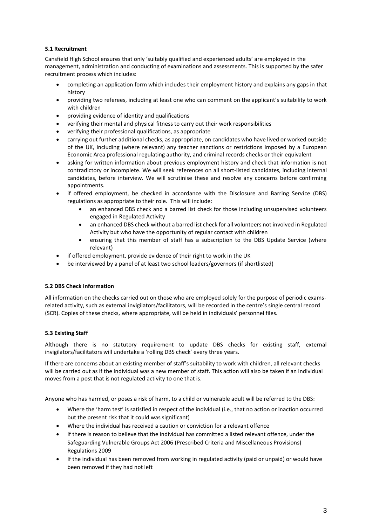# **5.1 Recruitment**

Cansfield High School ensures that only 'suitably qualified and experienced adults' are employed in the management, administration and conducting of examinations and assessments. This is supported by the safer recruitment process which includes:

- completing an application form which includes their employment history and explains any gaps in that history
- providing two referees, including at least one who can comment on the applicant's suitability to work with children
- providing evidence of identity and qualifications
- verifying their mental and physical fitness to carry out their work responsibilities
- verifying their professional qualifications, as appropriate
- carrying out further additional checks, as appropriate, on candidates who have lived or worked outside of the UK, including (where relevant) any teacher sanctions or restrictions imposed by a European Economic Area professional regulating authority, and criminal records checks or their equivalent
- asking for written information about previous employment history and check that information is not contradictory or incomplete. We will seek references on all short-listed candidates, including internal candidates, before interview. We will scrutinise these and resolve any concerns before confirming appointments.
- if offered employment, be checked in accordance with the Disclosure and Barring Service (DBS) regulations as appropriate to their role. This will include:
	- an enhanced DBS check and a barred list check for those including unsupervised volunteers engaged in Regulated Activity
	- an enhanced DBS check without a barred list check for all volunteers not involved in Regulated Activity but who have the opportunity of regular contact with children
	- ensuring that this member of staff has a subscription to the DBS Update Service (where relevant)
- if offered employment, provide evidence of their right to work in the UK
- be interviewed by a panel of at least two school leaders/governors (if shortlisted)

# **5.2 DBS Check Information**

All information on the checks carried out on those who are employed solely for the purpose of periodic examsrelated activity, such as external invigilators/facilitators, will be recorded in the centre's single central record (SCR). Copies of these checks, where appropriate, will be held in individuals' personnel files.

# **5.3 Existing Staff**

Although there is no statutory requirement to update DBS checks for existing staff, external invigilators/facilitators will undertake a 'rolling DBS check' every three years.

If there are concerns about an existing member of staff's suitability to work with children, all relevant checks will be carried out as if the individual was a new member of staff. This action will also be taken if an individual moves from a post that is not regulated activity to one that is.

Anyone who has harmed, or poses a risk of harm, to a child or vulnerable adult will be referred to the DBS:

- Where the 'harm test' is satisfied in respect of the individual (i.e., that no action or inaction occurred but the present risk that it could was significant)
- Where the individual has received a caution or conviction for a relevant offence
- If there is reason to believe that the individual has committed a listed relevant offence, under the Safeguarding Vulnerable Groups Act 2006 (Prescribed Criteria and Miscellaneous Provisions) Regulations 2009
- If the individual has been removed from working in regulated activity (paid or unpaid) or would have been removed if they had not left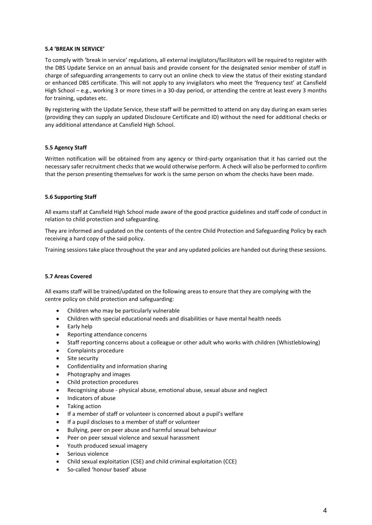# **5.4 'BREAK IN SERVICE'**

To comply with 'break in service' regulations, all external invigilators/facilitators will be required to register with the DBS Update Service on an annual basis and provide consent for the designated senior member of staff in charge of safeguarding arrangements to carry out an online check to view the status of their existing standard or enhanced DBS certificate. This will not apply to any invigilators who meet the 'frequency test' at Cansfield High School – e.g., working 3 or more times in a 30-day period, or attending the centre at least every 3 months for training, updates etc.

By registering with the Update Service, these staff will be permitted to attend on any day during an exam series (providing they can supply an updated Disclosure Certificate and ID) without the need for additional checks or any additional attendance at Cansfield High School.

# **5.5 Agency Staff**

Written notification will be obtained from any agency or third-party organisation that it has carried out the necessary safer recruitment checks that we would otherwise perform. A check will also be performed to confirm that the person presenting themselves for work is the same person on whom the checks have been made.

# **5.6 Supporting Staff**

All exams staff at Cansfield High School made aware of the good practice guidelines and staff code of conduct in relation to child protection and safeguarding.

They are informed and updated on the contents of the centre Child Protection and Safeguarding Policy by each receiving a hard copy of the said policy.

Training sessions take place throughout the year and any updated policies are handed out during these sessions.

# **5.7 Areas Covered**

All exams staff will be trained/updated on the following areas to ensure that they are complying with the centre policy on child protection and safeguarding:

- Children who may be particularly vulnerable
- Children with special educational needs and disabilities or have mental health needs
- Early help
- Reporting attendance concerns
- Staff reporting concerns about a colleague or other adult who works with children (Whistleblowing)
- Complaints procedure
- Site security
- Confidentiality and information sharing
- Photography and images
- Child protection procedures
- Recognising abuse physical abuse, emotional abuse, sexual abuse and neglect
- Indicators of abuse
- Taking action
- If a member of staff or volunteer is concerned about a pupil's welfare
- If a pupil discloses to a member of staff or volunteer
- Bullying, peer on peer abuse and harmful sexual behaviour
- Peer on peer sexual violence and sexual harassment
- Youth produced sexual imagery
- Serious violence
- Child sexual exploitation (CSE) and child criminal exploitation (CCE)
- So-called 'honour based' abuse